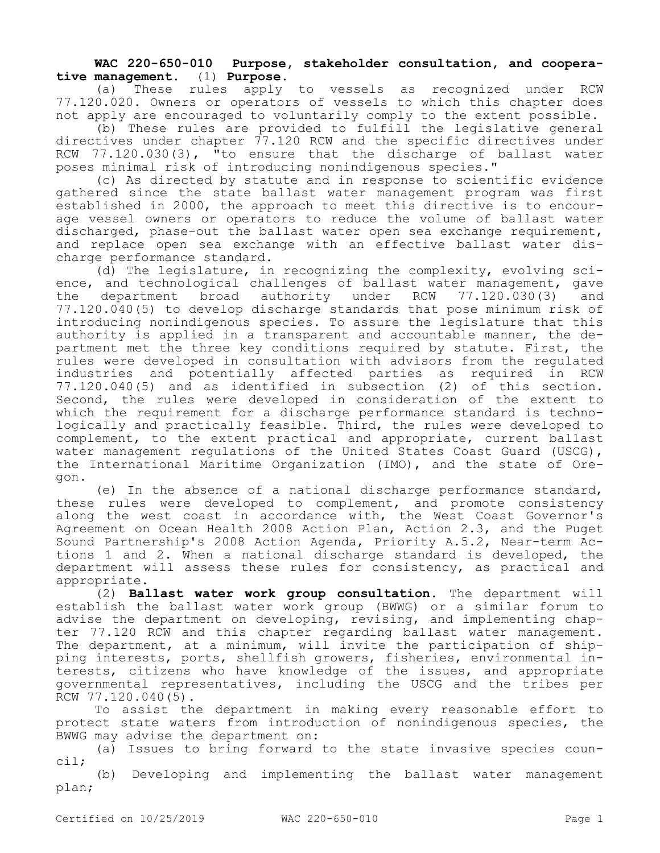## **WAC 220-650-010 Purpose, stakeholder consultation, and cooperative management.** (1) **Purpose.**

(a) These rules apply to vessels as recognized under RCW 77.120.020. Owners or operators of vessels to which this chapter does not apply are encouraged to voluntarily comply to the extent possible.

(b) These rules are provided to fulfill the legislative general directives under chapter 77.120 RCW and the specific directives under RCW 77.120.030(3), "to ensure that the discharge of ballast water poses minimal risk of introducing nonindigenous species."

(c) As directed by statute and in response to scientific evidence gathered since the state ballast water management program was first established in 2000, the approach to meet this directive is to encourage vessel owners or operators to reduce the volume of ballast water discharged, phase-out the ballast water open sea exchange requirement, and replace open sea exchange with an effective ballast water discharge performance standard.

(d) The legislature, in recognizing the complexity, evolving science, and technological challenges of ballast water management, gave<br>the department broad authority under RCW 77.120.030(3) and the department broad authority under RCW 77.120.030(3) and 77.120.040(5) to develop discharge standards that pose minimum risk of introducing nonindigenous species. To assure the legislature that this authority is applied in a transparent and accountable manner, the department met the three key conditions required by statute. First, the rules were developed in consultation with advisors from the regulated industries and potentially affected parties as required in RCW 77.120.040(5) and as identified in subsection (2) of this section. Second, the rules were developed in consideration of the extent to which the requirement for a discharge performance standard is technologically and practically feasible. Third, the rules were developed to complement, to the extent practical and appropriate, current ballast water management regulations of the United States Coast Guard (USCG), the International Maritime Organization (IMO), and the state of Oregon.

(e) In the absence of a national discharge performance standard, these rules were developed to complement, and promote consistency along the west coast in accordance with, the West Coast Governor's Agreement on Ocean Health 2008 Action Plan, Action 2.3, and the Puget Sound Partnership's 2008 Action Agenda, Priority A.5.2, Near-term Actions 1 and 2. When a national discharge standard is developed, the department will assess these rules for consistency, as practical and appropriate.

(2) **Ballast water work group consultation.** The department will establish the ballast water work group (BWWG) or a similar forum to advise the department on developing, revising, and implementing chapter 77.120 RCW and this chapter regarding ballast water management. The department, at a minimum, will invite the participation of shipping interests, ports, shellfish growers, fisheries, environmental interests, citizens who have knowledge of the issues, and appropriate governmental representatives, including the USCG and the tribes per RCW 77.120.040(5).

To assist the department in making every reasonable effort to protect state waters from introduction of nonindigenous species, the BWWG may advise the department on:

(a) Issues to bring forward to the state invasive species council;

(b) Developing and implementing the ballast water management plan;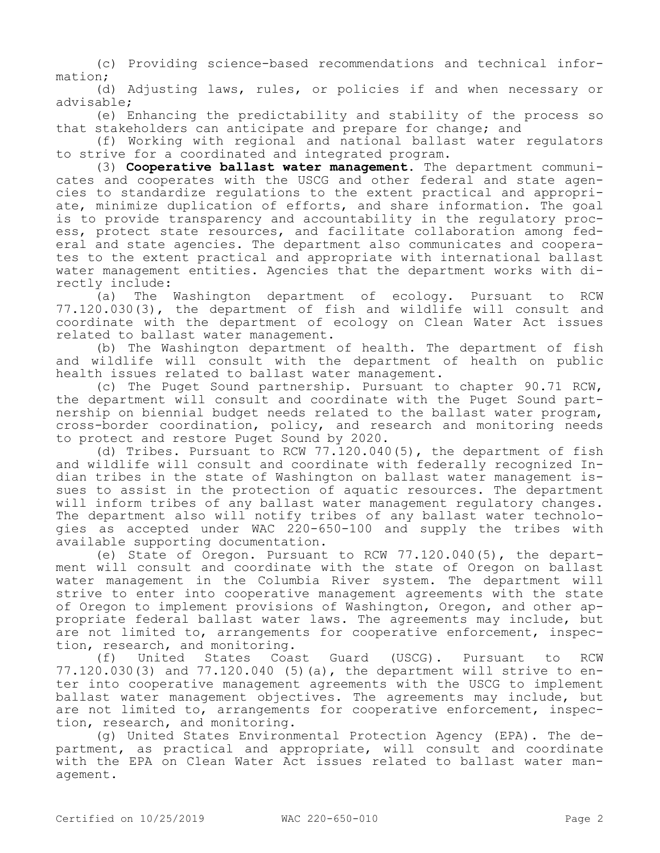(c) Providing science-based recommendations and technical information;

(d) Adjusting laws, rules, or policies if and when necessary or advisable;

(e) Enhancing the predictability and stability of the process so that stakeholders can anticipate and prepare for change; and

(f) Working with regional and national ballast water regulators to strive for a coordinated and integrated program.

(3) **Cooperative ballast water management.** The department communicates and cooperates with the USCG and other federal and state agencies to standardize regulations to the extent practical and appropriate, minimize duplication of efforts, and share information. The goal is to provide transparency and accountability in the regulatory process, protect state resources, and facilitate collaboration among federal and state agencies. The department also communicates and cooperates to the extent practical and appropriate with international ballast water management entities. Agencies that the department works with directly include:

(a) The Washington department of ecology. Pursuant to RCW 77.120.030(3), the department of fish and wildlife will consult and coordinate with the department of ecology on Clean Water Act issues related to ballast water management.

(b) The Washington department of health. The department of fish and wildlife will consult with the department of health on public health issues related to ballast water management.

(c) The Puget Sound partnership. Pursuant to chapter 90.71 RCW, the department will consult and coordinate with the Puget Sound partnership on biennial budget needs related to the ballast water program, cross-border coordination, policy, and research and monitoring needs to protect and restore Puget Sound by 2020.

(d) Tribes. Pursuant to RCW 77.120.040(5), the department of fish and wildlife will consult and coordinate with federally recognized Indian tribes in the state of Washington on ballast water management issues to assist in the protection of aquatic resources. The department will inform tribes of any ballast water management regulatory changes. The department also will notify tribes of any ballast water technologies as accepted under WAC 220-650-100 and supply the tribes with available supporting documentation.

(e) State of Oregon. Pursuant to RCW 77.120.040(5), the department will consult and coordinate with the state of Oregon on ballast water management in the Columbia River system. The department will strive to enter into cooperative management agreements with the state of Oregon to implement provisions of Washington, Oregon, and other appropriate federal ballast water laws. The agreements may include, but are not limited to, arrangements for cooperative enforcement, inspec-

tion, research, and monitoring.<br>(f) United States Coas (f) United States Coast Guard (USCG). Pursuant to RCW 77.120.030(3) and 77.120.040 (5)(a), the department will strive to enter into cooperative management agreements with the USCG to implement ballast water management objectives. The agreements may include, but are not limited to, arrangements for cooperative enforcement, inspection, research, and monitoring.

(g) United States Environmental Protection Agency (EPA). The department, as practical and appropriate, will consult and coordinate with the EPA on Clean Water Act issues related to ballast water management.